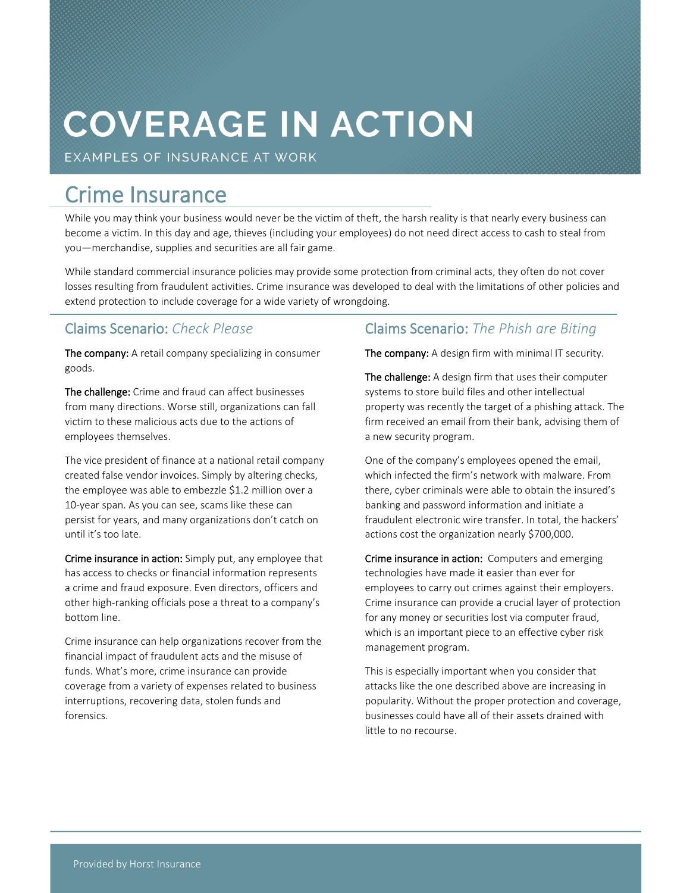# **COVERAGE IN ACTION**

EXAMPLES OF INSURANCE AT WORK

### **Crime Insurance**

While you may think your business would never be the victim of theft, the harsh reality is that nearly every business can become a victim. In this day and age, thieves (including your employees) do not need direct access to cash to steal from you—merchandise, supplies and securities are all fair game.

While standard commercial insurance policies may provide some protection from criminal acts, they often do not cover losses resulting from fraudulent activities. Crime insurance was developed to deal with the limitations of other policies and extend protection to include coverage for a wide variety of wrongdoing.

#### **Claims Scenario:** *Check Please*

**The company:** A retail company specializing in consumer goods.

**The challenge:** Crime and fraud can affect businesses from many directions. Worse still, organizations can fall victim to these malicious acts due to the actions of employees themselves.

The vice president of finance at a national retail company created false vendor invoices.Simply by altering checks, the employee was able to embezzle \$1.2 million over a 10-year span. As you can see, scams like these can persist for years, and many organizations don't catch on until it's too late.

**Crime insurance in action:** Simply put, any employee that has access to checks or financial information represents a crime and fraud exposure. Even directors, officers and other high-ranking officials pose a threat to a company's bottom line.

Crime insurance can help organizations recover from the financial impact of fraudulent acts and the misuse of funds. What's more, crime insurance can provide coverage from a variety of expenses related to business interruptions, recovering data, stolen funds and forensics.

#### **Claims Scenario:** *The Phish are Biting*

**The company:** A design firm with minimal IT security.

**The challenge:** A design firm that uses their computer systems to store build files and other intellectual property was recently the target of a phishing attack. The firm received an email from their bank, advising them of a new security program.

One of the company's employees opened the email, which infected the firm's network with malware. From there, cyber criminals were able to obtain the insured's banking and password information and initiate a fraudulent electronic wire transfer. In total, the hackers' actions cost the organization nearly \$700,000.

**Crime insurance in action:** Computers and emerging technologies have made it easier than ever for employees to carry out crimes against their employers. Crime insurance can provide a crucial layer of protection for any money or securities lost via computer fraud, which is an important piece to an effective cyber risk management program.

This is especially important when you consider that attacks like the one described above are increasing in popularity. Without the proper protection and coverage, businesses could have all of their assets drained with little to no recourse.